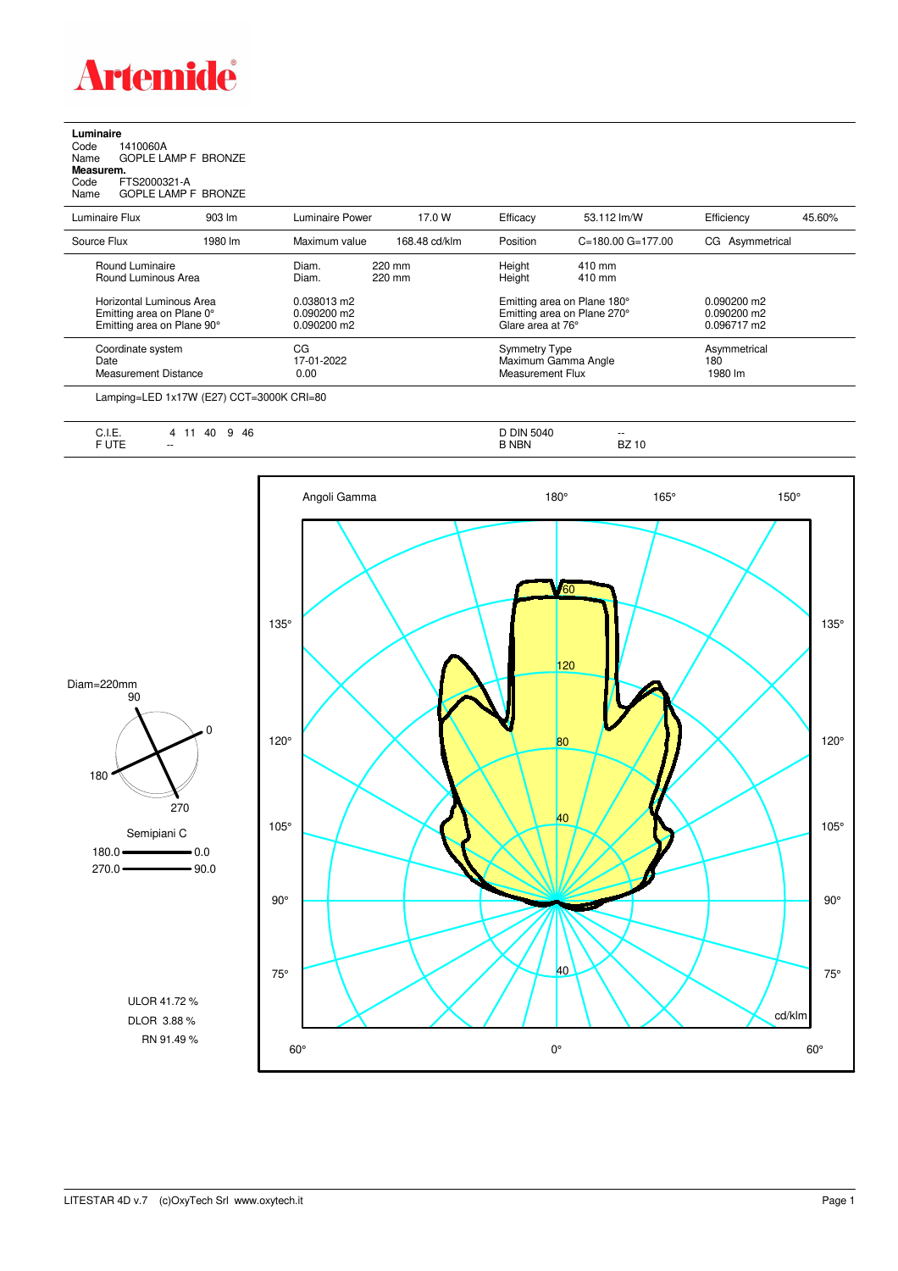

**Luminaire**<br>Code 1<br>Name ( Code 1410060A Name GOPLE LAMP F BRONZE **Measurem.**

Code FTS2000321-A Name GOPLE LAMP F BRONZE

| Luminaire Flux                                                                      | $903 \, \text{Im}$ | Luminaire Power                               | 17.0 W           | Efficacy                                                                        | 53.112 lm/W               | Efficiency                                    | 45.60% |
|-------------------------------------------------------------------------------------|--------------------|-----------------------------------------------|------------------|---------------------------------------------------------------------------------|---------------------------|-----------------------------------------------|--------|
| Source Flux                                                                         | 1980 lm            | Maximum value                                 | 168.48 cd/klm    | Position                                                                        | $C = 180.00$ $G = 177.00$ | CG Asymmetrical                               |        |
| Round Luminaire<br>Round Luminous Area                                              |                    | Diam.<br>Diam.                                | 220 mm<br>220 mm | Height<br>Height                                                                | 410 mm<br>410 mm          |                                               |        |
| Horizontal Luminous Area<br>Emitting area on Plane 0°<br>Emitting area on Plane 90° |                    | 0.038013 m2<br>$0.090200$ m2<br>$0.090200$ m2 |                  | Emitting area on Plane 180°<br>Emitting area on Plane 270°<br>Glare area at 76° |                           | $0.090200$ m2<br>$0.090200$ m2<br>0.096717 m2 |        |
| Coordinate system<br>Date<br>Measurement Distance                                   |                    | CG<br>17-01-2022<br>0.00                      |                  | <b>Symmetry Type</b><br>Maximum Gamma Angle<br>Measurement Flux                 |                           | Asymmetrical<br>180<br>1980 lm                |        |
|                                                                                     |                    |                                               |                  |                                                                                 |                           |                                               |        |

Lamping=LED 1x17W (E27) CCT=3000K CRI=80